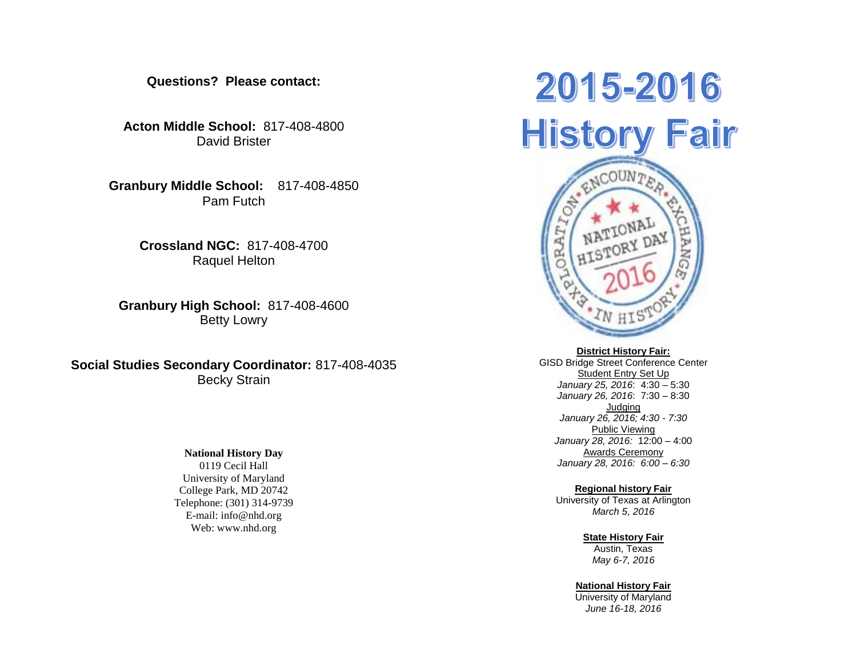**Questions? Please contact:**

**Acton Middle School:** 817-408-4800 David Brister

**Granbury Middle School:** 817-408-4850 Pam Futch

> **Crossland NGC:** 817-408-4700 Raquel Helton

**Granbury High School:** 817-408-4600 Betty Lowry

**Social Studies Secondary Coordinator:** 817-408-4035 Becky Strain

# **National History Day**

0119 Cecil Hall University of Maryland College Park, MD 20742 Telephone: (301) 314-9739 E-mail: info@nhd.org Web: www.nhd.org

# 2015-2016 **History Fair** ENCOUNTER

#### **District History Fair:**

GISD Bridge Street Conference Center Student Entry Set Up *January 25, 2016*: 4:30 – 5:30 *January 26, 2016*: 7:30 – 8:30 Judging *January 26, 2016; 4:30 - 7:30* Public Viewing *January 28, 2016:* 12:00 – 4:00 Awards Ceremony *January 28, 2016: 6:00 – 6:30*

# **Regional history Fair**

University of Texas at Arlington *March 5, 2016*

#### **State History Fair** Austin, Texas

*May 6-7, 2016*

#### **National History Fair**

University of Maryland *June 16-18, 2016*